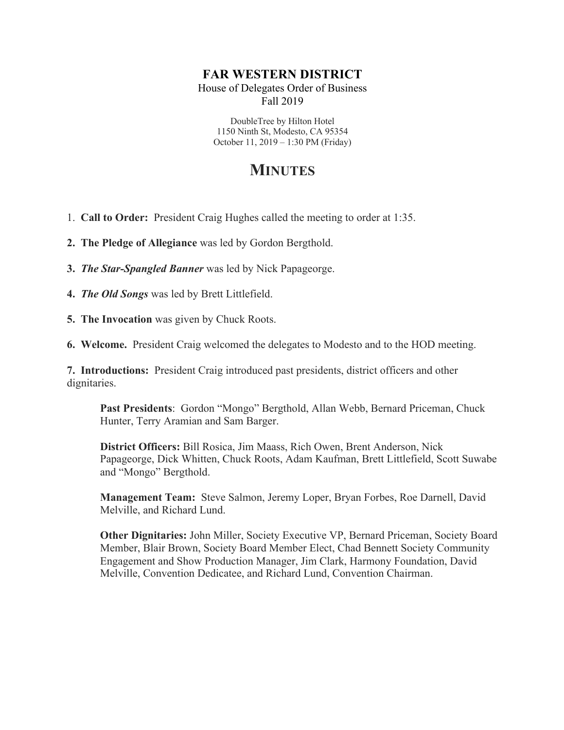## **FAR WESTERN DISTRICT**

House of Delegates Order of Business Fall 2019

DoubleTree by Hilton Hotel 1150 Ninth St, Modesto, CA 95354 October 11, 2019 – 1:30 PM (Friday)

# **MINUTES**

- 1. **Call to Order:** President Craig Hughes called the meeting to order at 1:35.
- **2. The Pledge of Allegiance** was led by Gordon Bergthold.
- **3.** *The Star-Spangled Banner* was led by Nick Papageorge.
- **4.** *The Old Songs* was led by Brett Littlefield.
- **5. The Invocation** was given by Chuck Roots.
- **6. Welcome.** President Craig welcomed the delegates to Modesto and to the HOD meeting.

**7. Introductions:** President Craig introduced past presidents, district officers and other dignitaries.

**Past Presidents**: Gordon "Mongo" Bergthold, Allan Webb, Bernard Priceman, Chuck Hunter, Terry Aramian and Sam Barger.

**District Officers:** Bill Rosica, Jim Maass, Rich Owen, Brent Anderson, Nick Papageorge, Dick Whitten, Chuck Roots, Adam Kaufman, Brett Littlefield, Scott Suwabe and "Mongo" Bergthold.

**Management Team:** Steve Salmon, Jeremy Loper, Bryan Forbes, Roe Darnell, David Melville, and Richard Lund.

**Other Dignitaries:** John Miller, Society Executive VP, Bernard Priceman, Society Board Member, Blair Brown, Society Board Member Elect, Chad Bennett Society Community Engagement and Show Production Manager, Jim Clark, Harmony Foundation, David Melville, Convention Dedicatee, and Richard Lund, Convention Chairman.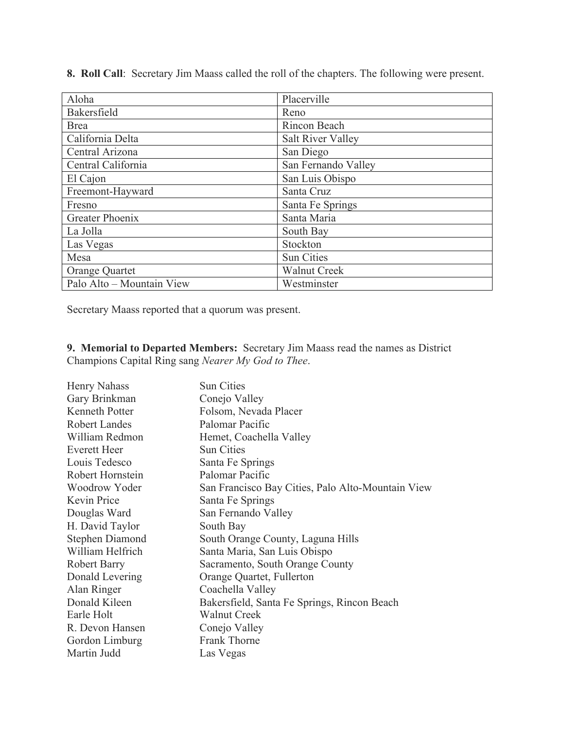**8. Roll Call**: Secretary Jim Maass called the roll of the chapters. The following were present.

| Aloha                     | Placerville              |
|---------------------------|--------------------------|
| Bakersfield               | Reno                     |
| <b>Brea</b>               | Rincon Beach             |
| California Delta          | <b>Salt River Valley</b> |
| Central Arizona           | San Diego                |
| Central California        | San Fernando Valley      |
| El Cajon                  | San Luis Obispo          |
| Freemont-Hayward          | Santa Cruz               |
| Fresno                    | Santa Fe Springs         |
| Greater Phoenix           | Santa Maria              |
| La Jolla                  | South Bay                |
| Las Vegas                 | Stockton                 |
| Mesa                      | <b>Sun Cities</b>        |
| Orange Quartet            | <b>Walnut Creek</b>      |
| Palo Alto - Mountain View | Westminster              |

Secretary Maass reported that a quorum was present.

**9. Memorial to Departed Members:** Secretary Jim Maass read the names as District Champions Capital Ring sang *Nearer My God to Thee*.

| Henry Nahass           | <b>Sun Cities</b>                                 |
|------------------------|---------------------------------------------------|
| Gary Brinkman          | Conejo Valley                                     |
| <b>Kenneth Potter</b>  | Folsom, Nevada Placer                             |
| <b>Robert Landes</b>   | Palomar Pacific                                   |
| William Redmon         | Hemet, Coachella Valley                           |
| <b>Everett Heer</b>    | <b>Sun Cities</b>                                 |
| Louis Tedesco          | Santa Fe Springs                                  |
| Robert Hornstein       | Palomar Pacific                                   |
| Woodrow Yoder          | San Francisco Bay Cities, Palo Alto-Mountain View |
| Kevin Price            | Santa Fe Springs                                  |
| Douglas Ward           | San Fernando Valley                               |
| H. David Taylor        | South Bay                                         |
| <b>Stephen Diamond</b> | South Orange County, Laguna Hills                 |
| William Helfrich       | Santa Maria, San Luis Obispo                      |
| <b>Robert Barry</b>    | Sacramento, South Orange County                   |
| Donald Levering        | Orange Quartet, Fullerton                         |
| Alan Ringer            | Coachella Valley                                  |
| Donald Kileen          | Bakersfield, Santa Fe Springs, Rincon Beach       |
| Earle Holt             | <b>Walnut Creek</b>                               |
| R. Devon Hansen        | Conejo Valley                                     |
| Gordon Limburg         | Frank Thorne                                      |
| Martin Judd            | Las Vegas                                         |
|                        |                                                   |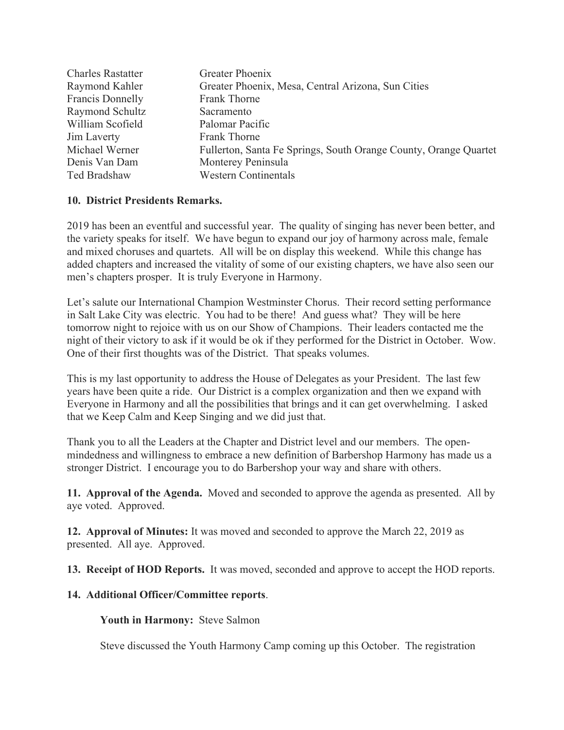| <b>Charles Rastatter</b> | Greater Phoenix                                                  |
|--------------------------|------------------------------------------------------------------|
| Raymond Kahler           | Greater Phoenix, Mesa, Central Arizona, Sun Cities               |
| Francis Donnelly         | Frank Thorne                                                     |
| Raymond Schultz          | Sacramento                                                       |
| William Scofield         | Palomar Pacific                                                  |
| Jim Laverty              | Frank Thorne                                                     |
| Michael Werner           | Fullerton, Santa Fe Springs, South Orange County, Orange Quartet |
| Denis Van Dam            | Monterey Peninsula                                               |
| Ted Bradshaw             | <b>Western Continentals</b>                                      |

### **10. District Presidents Remarks.**

2019 has been an eventful and successful year. The quality of singing has never been better, and the variety speaks for itself. We have begun to expand our joy of harmony across male, female and mixed choruses and quartets. All will be on display this weekend. While this change has added chapters and increased the vitality of some of our existing chapters, we have also seen our men's chapters prosper. It is truly Everyone in Harmony.

Let's salute our International Champion Westminster Chorus. Their record setting performance in Salt Lake City was electric. You had to be there! And guess what? They will be here tomorrow night to rejoice with us on our Show of Champions. Their leaders contacted me the night of their victory to ask if it would be ok if they performed for the District in October. Wow. One of their first thoughts was of the District. That speaks volumes.

This is my last opportunity to address the House of Delegates as your President. The last few years have been quite a ride. Our District is a complex organization and then we expand with Everyone in Harmony and all the possibilities that brings and it can get overwhelming. I asked that we Keep Calm and Keep Singing and we did just that.

Thank you to all the Leaders at the Chapter and District level and our members. The openmindedness and willingness to embrace a new definition of Barbershop Harmony has made us a stronger District. I encourage you to do Barbershop your way and share with others.

**11. Approval of the Agenda.** Moved and seconded to approve the agenda as presented. All by aye voted. Approved.

**12. Approval of Minutes:** It was moved and seconded to approve the March 22, 2019 as presented. All aye. Approved.

**13. Receipt of HOD Reports.** It was moved, seconded and approve to accept the HOD reports.

#### **14. Additional Officer/Committee reports**.

**Youth in Harmony:** Steve Salmon

Steve discussed the Youth Harmony Camp coming up this October. The registration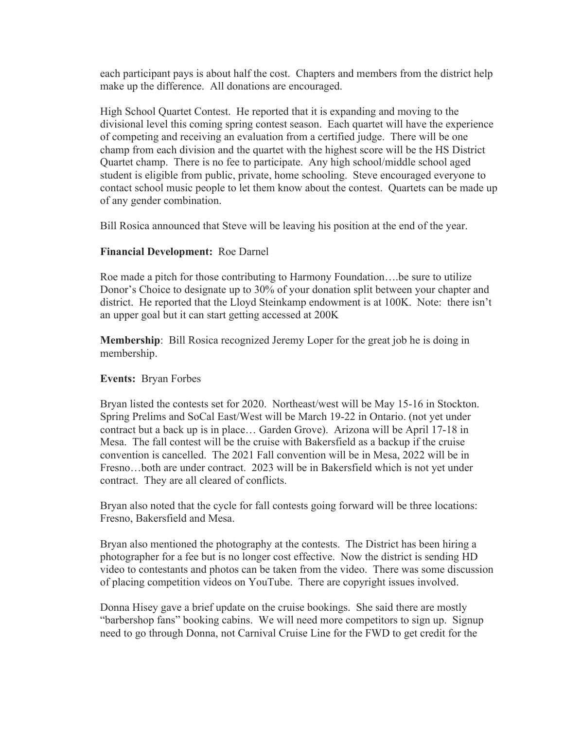each participant pays is about half the cost. Chapters and members from the district help make up the difference. All donations are encouraged.

High School Quartet Contest. He reported that it is expanding and moving to the divisional level this coming spring contest season. Each quartet will have the experience of competing and receiving an evaluation from a certified judge. There will be one champ from each division and the quartet with the highest score will be the HS District Quartet champ. There is no fee to participate. Any high school/middle school aged student is eligible from public, private, home schooling. Steve encouraged everyone to contact school music people to let them know about the contest. Quartets can be made up of any gender combination.

Bill Rosica announced that Steve will be leaving his position at the end of the year.

### **Financial Development:** Roe Darnel

Roe made a pitch for those contributing to Harmony Foundation….be sure to utilize Donor's Choice to designate up to 30% of your donation split between your chapter and district. He reported that the Lloyd Steinkamp endowment is at 100K. Note: there isn't an upper goal but it can start getting accessed at 200K

**Membership**: Bill Rosica recognized Jeremy Loper for the great job he is doing in membership.

#### **Events:** Bryan Forbes

Bryan listed the contests set for 2020. Northeast/west will be May 15-16 in Stockton. Spring Prelims and SoCal East/West will be March 19-22 in Ontario. (not yet under contract but a back up is in place… Garden Grove). Arizona will be April 17-18 in Mesa. The fall contest will be the cruise with Bakersfield as a backup if the cruise convention is cancelled. The 2021 Fall convention will be in Mesa, 2022 will be in Fresno…both are under contract. 2023 will be in Bakersfield which is not yet under contract. They are all cleared of conflicts.

Bryan also noted that the cycle for fall contests going forward will be three locations: Fresno, Bakersfield and Mesa.

Bryan also mentioned the photography at the contests. The District has been hiring a photographer for a fee but is no longer cost effective. Now the district is sending HD video to contestants and photos can be taken from the video. There was some discussion of placing competition videos on YouTube. There are copyright issues involved.

Donna Hisey gave a brief update on the cruise bookings. She said there are mostly "barbershop fans" booking cabins. We will need more competitors to sign up. Signup need to go through Donna, not Carnival Cruise Line for the FWD to get credit for the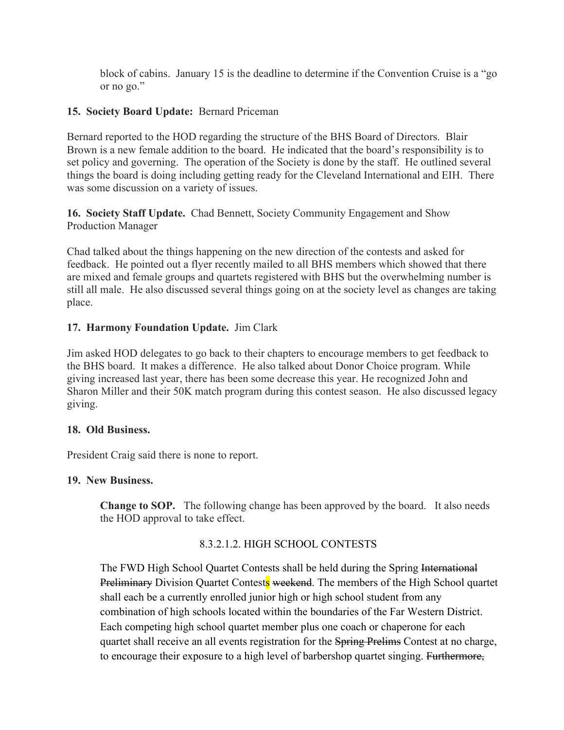block of cabins. January 15 is the deadline to determine if the Convention Cruise is a "go or no go."

## **15. Society Board Update:** Bernard Priceman

Bernard reported to the HOD regarding the structure of the BHS Board of Directors. Blair Brown is a new female addition to the board. He indicated that the board's responsibility is to set policy and governing. The operation of the Society is done by the staff. He outlined several things the board is doing including getting ready for the Cleveland International and EIH. There was some discussion on a variety of issues.

**16. Society Staff Update.** Chad Bennett, Society Community Engagement and Show Production Manager

Chad talked about the things happening on the new direction of the contests and asked for feedback. He pointed out a flyer recently mailed to all BHS members which showed that there are mixed and female groups and quartets registered with BHS but the overwhelming number is still all male. He also discussed several things going on at the society level as changes are taking place.

### **17. Harmony Foundation Update.** Jim Clark

Jim asked HOD delegates to go back to their chapters to encourage members to get feedback to the BHS board. It makes a difference. He also talked about Donor Choice program. While giving increased last year, there has been some decrease this year. He recognized John and Sharon Miller and their 50K match program during this contest season. He also discussed legacy giving.

#### **18. Old Business.**

President Craig said there is none to report.

#### **19. New Business.**

**Change to SOP.** The following change has been approved by the board. It also needs the HOD approval to take effect.

#### 8.3.2.1.2. HIGH SCHOOL CONTESTS

The FWD High School Quartet Contests shall be held during the Spring International Preliminary Division Quartet Contests weekend. The members of the High School quartet shall each be a currently enrolled junior high or high school student from any combination of high schools located within the boundaries of the Far Western District. Each competing high school quartet member plus one coach or chaperone for each quartet shall receive an all events registration for the **Spring Prelims** Contest at no charge, to encourage their exposure to a high level of barbershop quartet singing. Furthermore,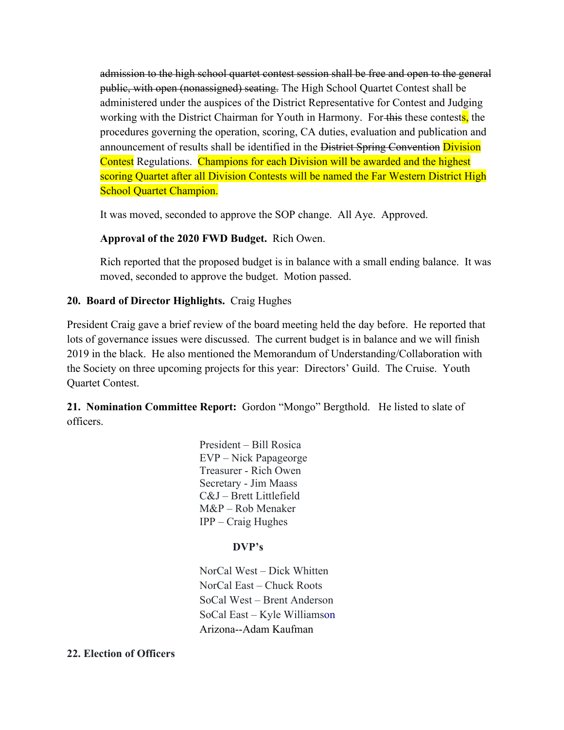admission to the high school quartet contest session shall be free and open to the general public, with open (nonassigned) seating. The High School Quartet Contest shall be administered under the auspices of the District Representative for Contest and Judging working with the District Chairman for Youth in Harmony. For this these contests, the procedures governing the operation, scoring, CA duties, evaluation and publication and announcement of results shall be identified in the District Spring Convention Division Contest Regulations. Champions for each Division will be awarded and the highest scoring Quartet after all Division Contests will be named the Far Western District High School Quartet Champion.

It was moved, seconded to approve the SOP change. All Aye. Approved.

#### **Approval of the 2020 FWD Budget.** Rich Owen.

Rich reported that the proposed budget is in balance with a small ending balance. It was moved, seconded to approve the budget. Motion passed.

#### **20. Board of Director Highlights.** Craig Hughes

President Craig gave a brief review of the board meeting held the day before. He reported that lots of governance issues were discussed. The current budget is in balance and we will finish 2019 in the black. He also mentioned the Memorandum of Understanding/Collaboration with the Society on three upcoming projects for this year: Directors' Guild. The Cruise. Youth Quartet Contest.

**21. Nomination Committee Report:** Gordon "Mongo" Bergthold. He listed to slate of officers.

> President – Bill Rosica EVP – Nick Papageorge Treasurer - Rich Owen Secretary - Jim Maass C&J – Brett Littlefield M&P – Rob Menaker IPP – Craig Hughes

#### **DVP's**

NorCal West – Dick Whitten NorCal East – Chuck Roots SoCal West – Brent Anderson SoCal East – Kyle Williamson Arizona--Adam Kaufman

#### **22. Election of Officers**